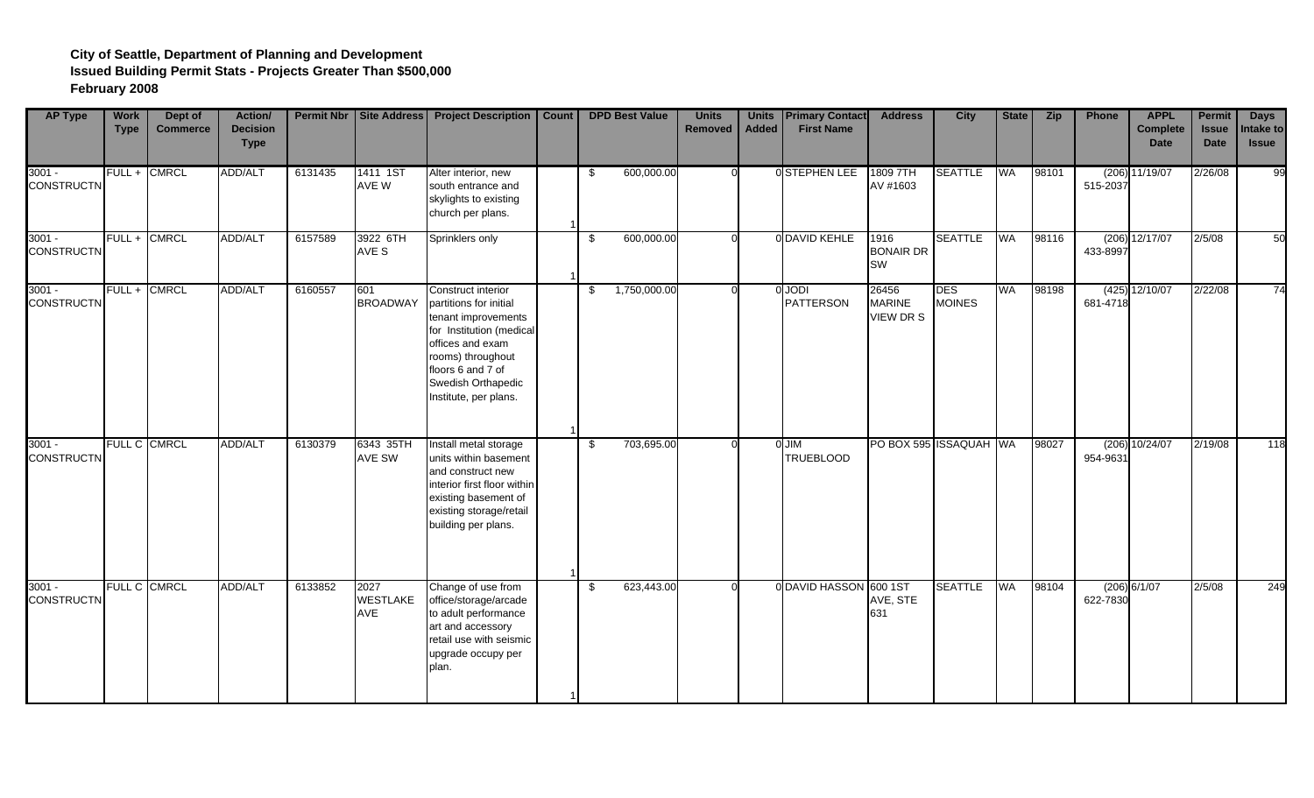| <b>AP Type</b>                | <b>Work</b><br><b>Type</b> | Dept of<br><b>Commerce</b> | Action/<br><b>Decision</b><br><b>Type</b> |         |                                | Permit Nbr   Site Address   Project Description                                                                                                                                                              | Count |      | <b>DPD Best Value</b> | <b>Units</b><br><b>Removed</b> | <b>Units</b><br><b>Added</b> | <b>Primary Contact</b><br><b>First Name</b> | <b>Address</b>                        | <b>City</b>                 | <b>State</b> | <b>Zip</b> | Phone    | <b>APPL</b><br><b>Complete</b><br><b>Date</b> | <b>Permit</b><br><b>Issue</b><br><b>Date</b> | <b>Days</b><br>Intake to<br><b>Issue</b> |
|-------------------------------|----------------------------|----------------------------|-------------------------------------------|---------|--------------------------------|--------------------------------------------------------------------------------------------------------------------------------------------------------------------------------------------------------------|-------|------|-----------------------|--------------------------------|------------------------------|---------------------------------------------|---------------------------------------|-----------------------------|--------------|------------|----------|-----------------------------------------------|----------------------------------------------|------------------------------------------|
| $3001 -$<br><b>CONSTRUCTN</b> |                            | FULL + CMRCL               | ADD/ALT                                   | 6131435 | 1411 1ST<br>AVE W              | Alter interior, new<br>south entrance and<br>skylights to existing<br>church per plans.                                                                                                                      |       | - \$ | 600,000.00            |                                |                              | <b>OSTEPHEN LEE</b>                         | 1809 7TH<br>AV #1603                  | <b>SEATTLE</b>              | WA           | 98101      | 515-2037 | $(206)$ 11/19/07                              | 2/26/08                                      | 99                                       |
| $3001 -$<br><b>CONSTRUCTN</b> | $FULL +$                   | <b>CMRCL</b>               | ADD/ALT                                   | 6157589 | 3922 6TH<br>AVE S              | Sprinklers only                                                                                                                                                                                              |       | \$   | 600,000.00            |                                |                              | 0 DAVID KEHLE                               | 1916<br><b>BONAIR DR</b><br><b>SW</b> | <b>SEATTLE</b>              | WA           | 98116      | 433-8997 | (206) 12/17/07                                | 2/5/08                                       | 50                                       |
| $3001 -$<br><b>CONSTRUCTN</b> |                            | FULL + CMRCL               | ADD/ALT                                   | 6160557 | 601<br><b>BROADWAY</b>         | Construct interior<br>partitions for initial<br>tenant improvements<br>for Institution (medical<br>offices and exam<br>rooms) throughout<br>floors 6 and 7 of<br>Swedish Orthapedic<br>Institute, per plans. |       | \$   | 1,750,000.00          |                                |                              | 0 JODI<br><b>PATTERSON</b>                  | 26456<br><b>MARINE</b><br>VIEW DR S   | <b>DES</b><br><b>MOINES</b> | WA.          | 98198      | 681-4718 | $(425)$ 12/10/07                              | 2/22/08                                      | 74                                       |
| $3001 -$<br><b>CONSTRUCTN</b> |                            | <b>FULL C CMRCL</b>        | ADD/ALT                                   | 6130379 | 6343 35TH<br>AVE SW            | Install metal storage<br>units within basement<br>and construct new<br>interior first floor within<br>existing basement of<br>existing storage/retail<br>building per plans.                                 |       | -\$  | 703,695.00            |                                |                              | O JIM<br><b>TRUEBLOOD</b>                   | PO BOX 595 ISSAQUAH WA                |                             |              | 98027      | 954-9631 | (206) 10/24/07                                | 2/19/08                                      | 118                                      |
| $3001 -$<br><b>CONSTRUCTN</b> |                            | FULL C CMRCL               | ADD/ALT                                   | 6133852 | 2027<br><b>WESTLAKE</b><br>AVE | Change of use from<br>office/storage/arcade<br>to adult performance<br>art and accessory<br>retail use with seismic<br>upgrade occupy per<br>plan.                                                           |       | \$   | 623,443.00            |                                |                              | 0 DAVID HASSON 600 1ST                      | AVE, STE<br>631                       | <b>SEATTLE</b>              | WA           | 98104      | 622-7830 | (206) 6/1/07                                  | 2/5/08                                       | 249                                      |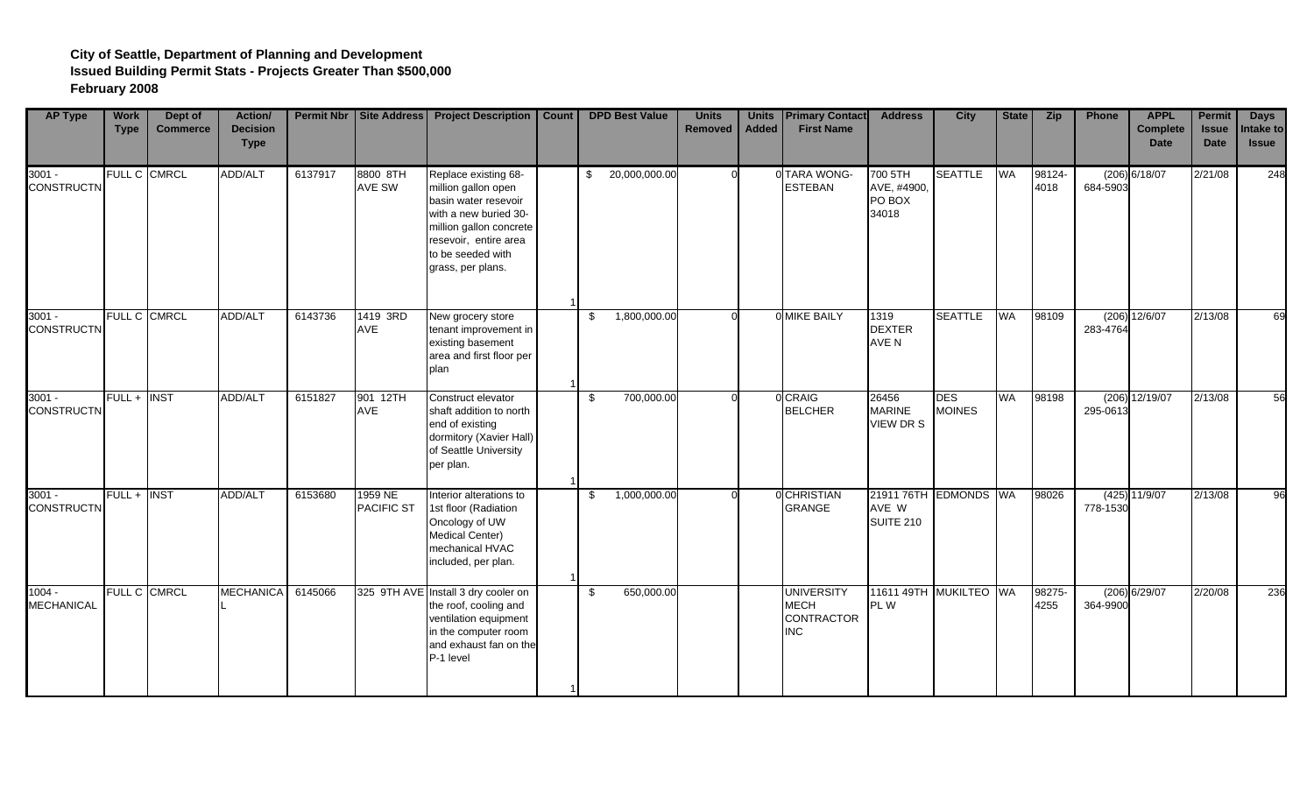| <b>AP Type</b>                | <b>Work</b><br><b>Type</b> | Dept of<br><b>Commerce</b> | Action/<br><b>Decision</b><br><b>Type</b> | <b>Permit Nbr</b> |                              | Site Address   Project Description                                                                                                                                                         | <b>Count</b> | <b>DPD Best Value</b> | <b>Units</b><br><b>Removed</b> | <b>Units</b><br><b>Added</b> | <b>Primary Contact</b><br><b>First Name</b>                         | <b>Address</b>                              | <b>City</b>                 | State     | <b>Zip</b>     | Phone    | <b>APPL</b><br><b>Complete</b><br><b>Date</b> | <b>Permit</b><br><b>Issue</b><br><b>Date</b> | <b>Days</b><br>Intake to<br><b>Issue</b> |
|-------------------------------|----------------------------|----------------------------|-------------------------------------------|-------------------|------------------------------|--------------------------------------------------------------------------------------------------------------------------------------------------------------------------------------------|--------------|-----------------------|--------------------------------|------------------------------|---------------------------------------------------------------------|---------------------------------------------|-----------------------------|-----------|----------------|----------|-----------------------------------------------|----------------------------------------------|------------------------------------------|
| $3001 -$<br><b>CONSTRUCTN</b> | <b>FULL C</b>              | <b>CMRCL</b>               | ADD/ALT                                   | 6137917           | 8800 8TH<br>AVE SW           | Replace existing 68-<br>million gallon open<br>basin water resevoir<br>with a new buried 30-<br>million gallon concrete<br>resevoir, entire area<br>to be seeded with<br>grass, per plans. |              | \$<br>20,000,000.00   |                                |                              | 0 TARA WONG-<br><b>ESTEBAN</b>                                      | 700 5TH<br>AVE, #4900,<br>PO BOX<br>34018   | <b>SEATTLE</b>              | WA        | 98124-<br>4018 | 684-5903 | (206) 6/18/07                                 | 2/21/08                                      | 248                                      |
| $3001 -$<br><b>CONSTRUCTN</b> | <b>FULL C</b>              | <b>CMRCL</b>               | ADD/ALT                                   | 6143736           | 1419 3RD<br><b>AVE</b>       | New grocery store<br>tenant improvement in<br>existing basement<br>area and first floor per<br>plan                                                                                        |              | \$<br>1,800,000.00    |                                |                              | <b>O MIKE BAILY</b>                                                 | 1319<br><b>DEXTER</b><br>AVE N              | <b>SEATTLE</b>              | <b>WA</b> | 98109          | 283-4764 | $(206)$ 12/6/07                               | 2/13/08                                      | 69                                       |
| $3001 -$<br><b>CONSTRUCTN</b> | FULL+                      | <b>INST</b>                | ADD/ALT                                   | 6151827           | 901 12TH<br><b>AVE</b>       | Construct elevator<br>shaft addition to north<br>end of existing<br>dormitory (Xavier Hall)<br>of Seattle University<br>per plan.                                                          |              | \$<br>700,000.00      |                                |                              | 0 CRAIG<br><b>BELCHER</b>                                           | 26456<br><b>MARINE</b><br><b>VIEW DR S</b>  | <b>DES</b><br><b>MOINES</b> | <b>WA</b> | 98198          | 295-0613 | (206) 12/19/07                                | 2/13/08                                      | 56                                       |
| $3001 -$<br><b>CONSTRUCTN</b> | $FULL +$                   | <b>INST</b>                | ADD/ALT                                   | 6153680           | 1959 NE<br><b>PACIFIC ST</b> | Interior alterations to<br>1st floor (Radiation<br>Oncology of UW<br><b>Medical Center)</b><br>mechanical HVAC<br>included, per plan.                                                      |              | \$<br>1,000,000.00    |                                |                              | <b>OCHRISTIAN</b><br><b>GRANGE</b>                                  | 21911 76TH EDMONDS WA<br>AVE W<br>SUITE 210 |                             |           | 98026          | 778-1530 | $(425)$ 11/9/07                               | 2/13/08                                      | 96                                       |
| $1004 -$<br><b>MECHANICAL</b> |                            | FULL C CMRCL               | <b>MECHANICA</b>                          | 6145066           |                              | 325 9TH AVE Install 3 dry cooler on<br>the roof, cooling and<br>ventilation equipment<br>in the computer room<br>and exhaust fan on the<br>P-1 level                                       |              | \$<br>650,000.00      |                                |                              | <b>UNIVERSITY</b><br><b>MECH</b><br><b>CONTRACTOR</b><br><b>INC</b> | 11611 49TH MUKILTEO WA<br><b>PLW</b>        |                             |           | 98275-<br>4255 | 364-9900 | $(206)$ 6/29/07                               | 2/20/08                                      | 236                                      |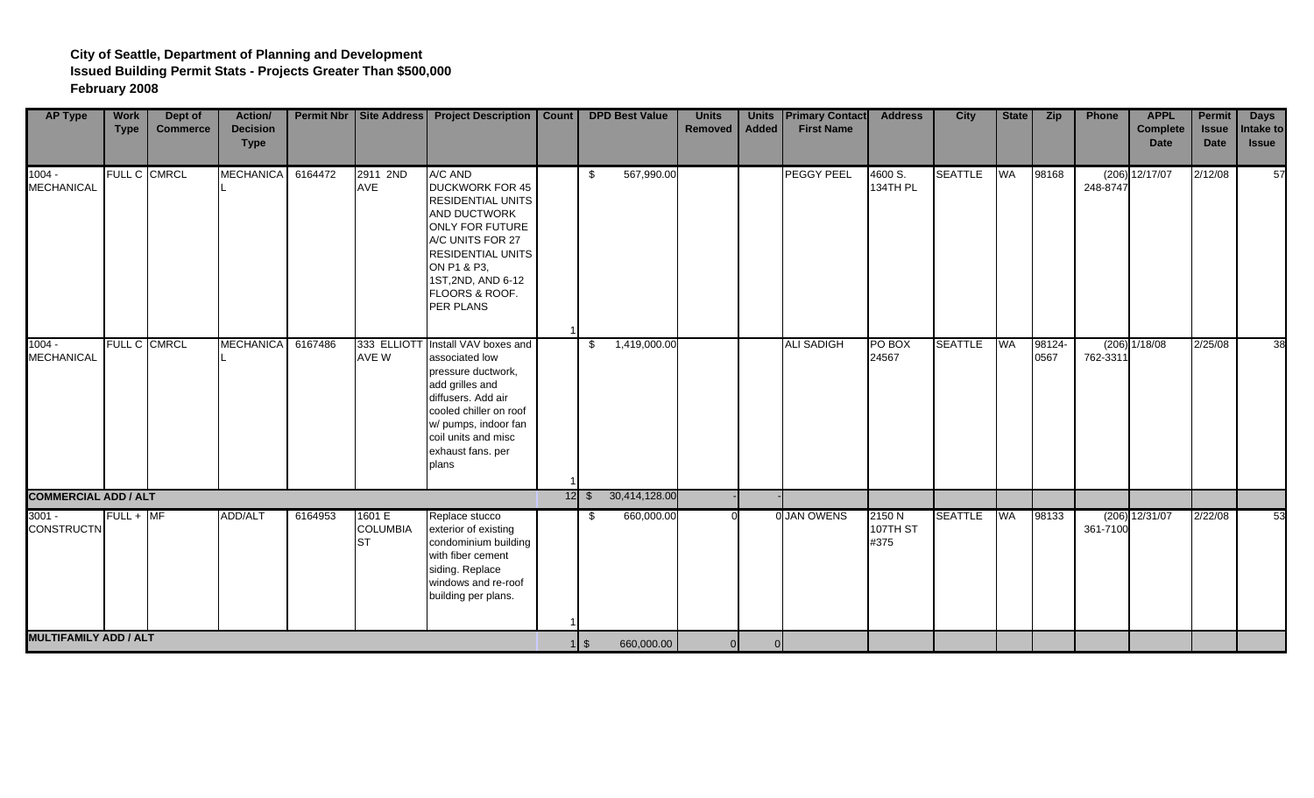| <b>AP Type</b>                | <b>Work</b><br><b>Type</b> | Dept of<br><b>Commerce</b> | Action/<br><b>Decision</b><br><b>Type</b> |         |                                        | Permit Nbr   Site Address   Project Description   Count                                                                                                                                                                     |              | <b>DPD Best Value</b> | <b>Units</b><br>Removed | <b>Added</b>   | <b>Units Primary Contact</b><br><b>First Name</b> | <b>Address</b>             | City           | State     | <b>Zip</b>     | Phone             | <b>APPL</b><br><b>Complete</b><br><b>Date</b> | Permit<br><b>Issue</b><br><b>Date</b> | <b>Days</b><br>Intake to<br><b>Issue</b> |
|-------------------------------|----------------------------|----------------------------|-------------------------------------------|---------|----------------------------------------|-----------------------------------------------------------------------------------------------------------------------------------------------------------------------------------------------------------------------------|--------------|-----------------------|-------------------------|----------------|---------------------------------------------------|----------------------------|----------------|-----------|----------------|-------------------|-----------------------------------------------|---------------------------------------|------------------------------------------|
| $1004 -$<br><b>MECHANICAL</b> |                            | FULL C CMRCL               | <b>MECHANICA</b>                          | 6164472 | 2911 2ND<br>AVE                        | A/C AND<br><b>DUCKWORK FOR 45</b><br><b>RESIDENTIAL UNITS</b><br>AND DUCTWORK<br><b>ONLY FOR FUTURE</b><br>A/C UNITS FOR 27<br><b>RESIDENTIAL UNITS</b><br>ON P1 & P3,<br>1ST, 2ND, AND 6-12<br>FLOORS & ROOF.<br>PER PLANS | \$           | 567,990.00            |                         |                | <b>PEGGY PEEL</b>                                 | 4600 S.<br>134TH PL        | <b>SEATTLE</b> | <b>WA</b> | 98168          | (206)<br>248-8747 | 12/17/07                                      | 2/12/08                               | 57                                       |
| $1004 -$<br><b>MECHANICAL</b> |                            | <b>FULL C CMRCL</b>        | <b>MECHANICA</b>                          | 6167486 | AVE W                                  | 333 ELLIOTT Install VAV boxes and<br>associated low<br>pressure ductwork,<br>add grilles and<br>diffusers. Add air<br>cooled chiller on roof<br>w/ pumps, indoor fan<br>coil units and misc<br>exhaust fans. per<br>plans   | -\$          | 1,419,000.00          |                         |                | <b>ALI SADIGH</b>                                 | PO BOX<br>24567            | <b>SEATTLE</b> | <b>WA</b> | 98124-<br>0567 | 762-3311          | $(206)$ $1/18/08$                             | 2/25/08                               | 38                                       |
| <b>COMMERCIAL ADD / ALT</b>   |                            |                            |                                           |         |                                        |                                                                                                                                                                                                                             | $12 \mid$ \$ | 30,414,128.00         |                         |                |                                                   |                            |                |           |                |                   |                                               |                                       |                                          |
| $3001 -$<br><b>CONSTRUCTN</b> | $FULL + MF$                |                            | ADD/ALT                                   | 6164953 | 1601 E<br><b>COLUMBIA</b><br><b>ST</b> | Replace stucco<br>exterior of existing<br>condominium building<br>with fiber cement<br>siding. Replace<br>windows and re-roof<br>building per plans.                                                                        | - \$         | 660,000.00            |                         |                | 0 JAN OWENS                                       | 2150 N<br>107TH ST<br>#375 | <b>SEATTLE</b> | WA        | 98133          | 361-7100          | $(206)$ 12/31/07                              | 2/22/08                               | 53                                       |
| <b>MULTIFAMILY ADD / ALT</b>  |                            |                            |                                           |         |                                        |                                                                                                                                                                                                                             | $1 \,$ \$    | 660,000.00            | 0                       | $\overline{0}$ |                                                   |                            |                |           |                |                   |                                               |                                       |                                          |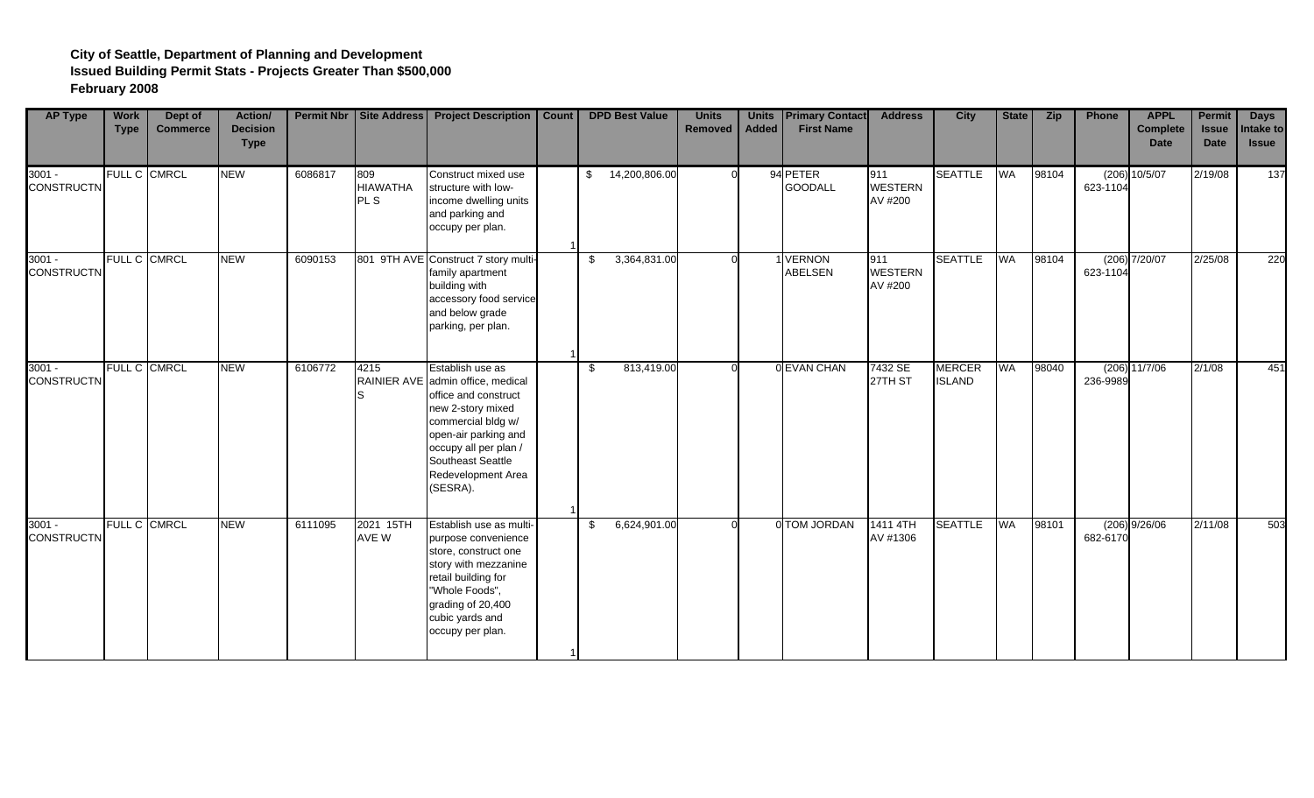| <b>AP Type</b>                | <b>Work</b><br><b>Type</b> | Dept of<br><b>Commerce</b> | Action/<br><b>Decision</b><br><b>Type</b> |         |                                           | <b>Permit Nbr   Site Address   Project Description</b>                                                                                                                                                                           | Count |     | <b>DPD Best Value</b> | <b>Units</b><br><b>Removed</b> | <b>Units</b><br><b>Added</b> | <b>Primary Contact</b><br><b>First Name</b> | <b>Address</b>                   | <b>City</b>                    | State     | <b>Zip</b> | Phone    | <b>APPL</b><br><b>Complete</b><br><b>Date</b> | <b>Permit</b><br><b>Issue</b><br><b>Date</b> | <b>Days</b><br>Intake to<br><b>Issue</b> |
|-------------------------------|----------------------------|----------------------------|-------------------------------------------|---------|-------------------------------------------|----------------------------------------------------------------------------------------------------------------------------------------------------------------------------------------------------------------------------------|-------|-----|-----------------------|--------------------------------|------------------------------|---------------------------------------------|----------------------------------|--------------------------------|-----------|------------|----------|-----------------------------------------------|----------------------------------------------|------------------------------------------|
| $3001 -$<br><b>CONSTRUCTN</b> |                            | FULL C CMRCL               | <b>NEW</b>                                | 6086817 | 809<br><b>HIAWATHA</b><br>PL <sub>S</sub> | Construct mixed use<br>structure with low-<br>income dwelling units<br>and parking and<br>occupy per plan.                                                                                                                       |       | \$  | 14,200,806.00         |                                |                              | 94 PETER<br><b>GOODALL</b>                  | 911<br><b>WESTERN</b><br>AV #200 | <b>SEATTLE</b>                 | <b>WA</b> | 98104      | 623-1104 | $(206)$ 10/5/07                               | 2/19/08                                      | 137                                      |
| $3001 -$<br><b>CONSTRUCTN</b> |                            | FULL C CMRCL               | <b>NEW</b>                                | 6090153 |                                           | 801 9TH AVE Construct 7 story multi-<br>family apartment<br>building with<br>accessory food service<br>and below grade<br>parking, per plan.                                                                                     |       | -\$ | 3,364,831.00          |                                |                              | 1 VERNON<br><b>ABELSEN</b>                  | 911<br><b>WESTERN</b><br>AV #200 | <b>SEATTLE</b>                 | WA        | 98104      | 623-1104 | $(206)$ $7/20/07$                             | 2/25/08                                      | 220                                      |
| $3001 -$<br><b>CONSTRUCTN</b> |                            | FULL C CMRCL               | <b>NEW</b>                                | 6106772 | 4215<br>S                                 | Establish use as<br>RAINIER AVE admin office, medical<br>office and construct<br>new 2-story mixed<br>commercial bldg w/<br>open-air parking and<br>occupy all per plan /<br>Southeast Seattle<br>Redevelopment Area<br>(SESRA). |       | -\$ | 813,419.00            |                                |                              | 0 EVAN CHAN                                 | 7432 SE<br>27TH ST               | <b>MERCER</b><br><b>ISLAND</b> | <b>WA</b> | 98040      | 236-9989 | $(206)$ 11/7/06                               | 2/1/08                                       | 451                                      |
| $3001 -$<br><b>CONSTRUCTN</b> |                            | FULL C CMRCL               | <b>NEW</b>                                | 6111095 | 2021 15TH<br>AVE W                        | Establish use as multi-<br>purpose convenience<br>store, construct one<br>story with mezzanine<br>retail building for<br>"Whole Foods",<br>grading of 20,400<br>cubic yards and<br>occupy per plan.                              |       | \$  | 6,624,901.00          |                                |                              | 0 TOM JORDAN                                | 1411 4TH<br>AV #1306             | <b>SEATTLE</b>                 | <b>WA</b> | 98101      | 682-6170 | $(206)$ 9/26/06                               | 2/11/08                                      | 503                                      |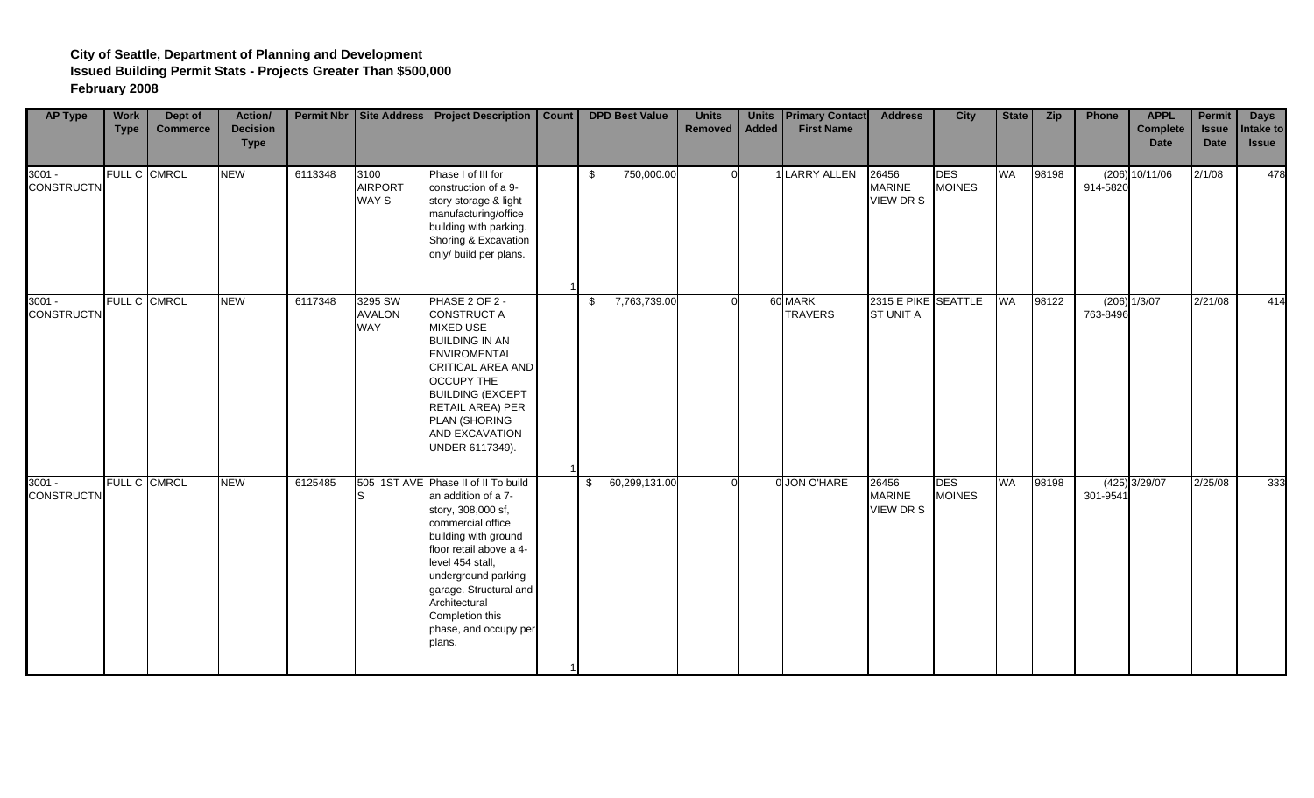| <b>AP Type</b>                | <b>Work</b><br><b>Type</b> | Dept of<br><b>Commerce</b> | Action/<br><b>Decision</b><br><b>Type</b> |         |                                 | <b>Permit Nbr   Site Address   Project Description</b>                                                                                                                                                                                                                                               | Count |     | <b>DPD Best Value</b> | <b>Units</b><br>Removed | <b>Units</b><br><b>Added</b> | <b>Primary Contact</b><br><b>First Name</b> | <b>Address</b>                          | <b>City</b>                 | State     | <b>Zip</b> | Phone    | <b>APPL</b><br><b>Complete</b><br><b>Date</b> | <b>Permit</b><br><b>Issue</b><br><b>Date</b> | <b>Days</b><br>Intake to<br><b>Issue</b> |
|-------------------------------|----------------------------|----------------------------|-------------------------------------------|---------|---------------------------------|------------------------------------------------------------------------------------------------------------------------------------------------------------------------------------------------------------------------------------------------------------------------------------------------------|-------|-----|-----------------------|-------------------------|------------------------------|---------------------------------------------|-----------------------------------------|-----------------------------|-----------|------------|----------|-----------------------------------------------|----------------------------------------------|------------------------------------------|
| $3001 -$<br><b>CONSTRUCTN</b> |                            | FULL C CMRCL               | <b>NEW</b>                                | 6113348 | 3100<br><b>AIRPORT</b><br>WAY S | Phase I of III for<br>construction of a 9-<br>story storage & light<br>manufacturing/office<br>building with parking.<br>Shoring & Excavation<br>only/ build per plans.                                                                                                                              |       | \$. | 750,000.00            |                         |                              | 1 LARRY ALLEN                               | 26456<br><b>MARINE</b><br>VIEW DR S     | <b>DES</b><br><b>MOINES</b> | <b>WA</b> | 98198      | 914-5820 | (206) 10/11/06                                | 2/1/08                                       | 478                                      |
| $3001 -$<br><b>CONSTRUCTN</b> |                            | FULL C CMRCL               | <b>NEW</b>                                | 6117348 | 3295 SW<br><b>AVALON</b><br>WAY | PHASE 2 OF 2 -<br><b>CONSTRUCT A</b><br>MIXED USE<br><b>BUILDING IN AN</b><br><b>ENVIROMENTAL</b><br>CRITICAL AREA AND<br><b>OCCUPY THE</b><br><b>BUILDING (EXCEPT</b><br>RETAIL AREA) PER<br>PLAN (SHORING<br>AND EXCAVATION<br>UNDER 6117349).                                                     |       | \$  | 7,763,739.00          |                         |                              | 60 MARK<br><b>TRAVERS</b>                   | 2315 E PIKE SEATTLE<br><b>ST UNIT A</b> |                             | <b>WA</b> | 98122      | 763-8496 | $(206)$ $1/3/07$                              | 2/21/08                                      | 414                                      |
| $3001 -$<br><b>CONSTRUCTN</b> |                            | FULL C CMRCL               | <b>NEW</b>                                | 6125485 | S                               | 505 1ST AVE Phase II of II To build<br>an addition of a 7-<br>story, 308,000 sf,<br>commercial office<br>building with ground<br>floor retail above a 4-<br>level 454 stall,<br>underground parking<br>garage. Structural and<br>Architectural<br>Completion this<br>phase, and occupy per<br>plans. |       | \$  | 60,299,131.00         |                         |                              | 0 JON O'HARE                                | 26456<br><b>MARINE</b><br>VIEW DR S     | <b>DES</b><br><b>MOINES</b> | WA        | 98198      | 301-9541 | $(425)$ 3/29/07                               | 2/25/08                                      | 333                                      |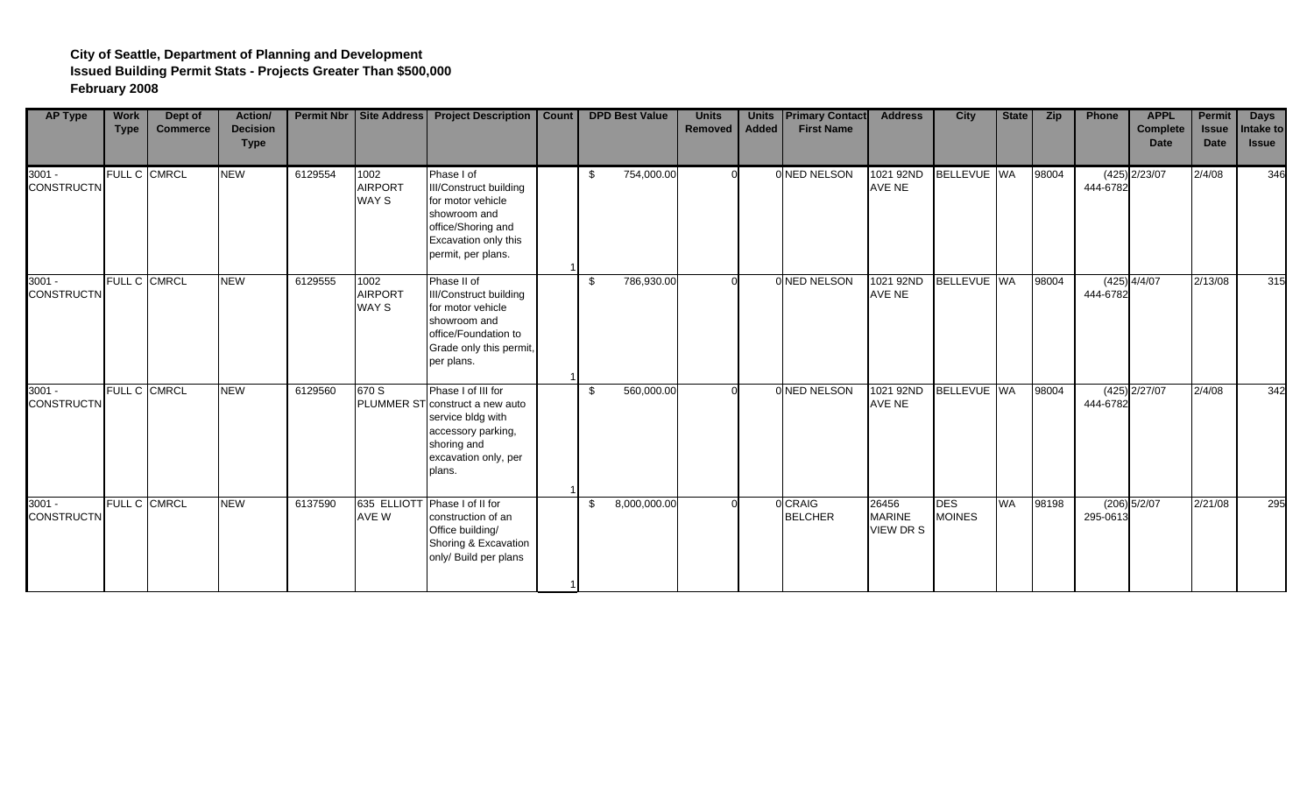| <b>AP Type</b>                | <b>Work</b><br><b>Type</b> | Dept of<br><b>Commerce</b> | <b>Action/</b><br><b>Decision</b><br><b>Type</b> |         |                                 | Permit Nbr   Site Address   Project Description                                                                                                    | Count |     | <b>DPD Best Value</b> | <b>Units</b><br>Removed | <b>Units</b><br><b>Added</b> | <b>Primary Contact</b><br><b>First Name</b> | <b>Address</b>                            | <b>City</b>                 | State     | <b>Zip</b> | Phone    | <b>APPL</b><br><b>Complete</b><br><b>Date</b> | <b>Permit</b><br><b>Issue</b><br><b>Date</b> | <b>Days</b><br>Intake to<br><b>Issue</b> |
|-------------------------------|----------------------------|----------------------------|--------------------------------------------------|---------|---------------------------------|----------------------------------------------------------------------------------------------------------------------------------------------------|-------|-----|-----------------------|-------------------------|------------------------------|---------------------------------------------|-------------------------------------------|-----------------------------|-----------|------------|----------|-----------------------------------------------|----------------------------------------------|------------------------------------------|
| $3001 -$<br><b>CONSTRUCTN</b> | <b>FULL C</b>              | <b>CMRCL</b>               | <b>NEW</b>                                       | 6129554 | 1002<br><b>AIRPORT</b><br>WAY S | Phase I of<br>III/Construct building<br>for motor vehicle<br>showroom and<br>office/Shoring and<br>Excavation only this<br>permit, per plans.      |       | \$. | 754,000.00            |                         |                              | 0 NED NELSON                                | 1021 92ND<br>AVE NE                       | BELLEVUE WA                 |           | 98004      | 444-6782 | $(425)$ 2/23/07                               | 2/4/08                                       | 346                                      |
| $3001 -$<br><b>CONSTRUCTN</b> | <b>FULL C</b>              | <b>CMRCL</b>               | <b>NEW</b>                                       | 6129555 | 1002<br><b>AIRPORT</b><br>WAY S | Phase II of<br><b>III/Construct building</b><br>for motor vehicle<br>showroom and<br>office/Foundation to<br>Grade only this permit,<br>per plans. |       | \$  | 786,930.00            |                         |                              | 0 NED NELSON                                | 1021 92ND<br>AVE NE                       | BELLEVUE WA                 |           | 98004      | 444-6782 | $(425)$ 4/4/07                                | 2/13/08                                      | 315                                      |
| $3001 -$<br><b>CONSTRUCTN</b> | <b>FULL C</b>              | <b>CMRCL</b>               | <b>NEW</b>                                       | 6129560 | 670 S                           | Phase I of III for<br>PLUMMER ST construct a new auto<br>service bldg with<br>accessory parking,<br>shoring and<br>excavation only, per<br>plans.  |       | \$. | 560,000.00            |                         |                              | 0 NED NELSON                                | 1021 92ND<br>AVE NE                       | BELLEVUE WA                 |           | 98004      | 444-6782 | $(425)$ 2/27/07                               | 2/4/08                                       | 342                                      |
| $3001 -$<br><b>CONSTRUCTN</b> | <b>FULL C</b>              | <b>CMRCL</b>               | <b>NEW</b>                                       | 6137590 | AVE W                           | 635 ELLIOTT Phase I of II for<br>construction of an<br>Office building/<br>Shoring & Excavation<br>only/ Build per plans                           |       |     | 8,000,000.00          |                         |                              | 0 CRAIG<br><b>BELCHER</b>                   | 26456<br><b>MARINE</b><br><b>VIEW DRS</b> | <b>DES</b><br><b>MOINES</b> | <b>WA</b> | 98198      | 295-0613 | $(206)$ $5/2/07$                              | 2/21/08                                      | 295                                      |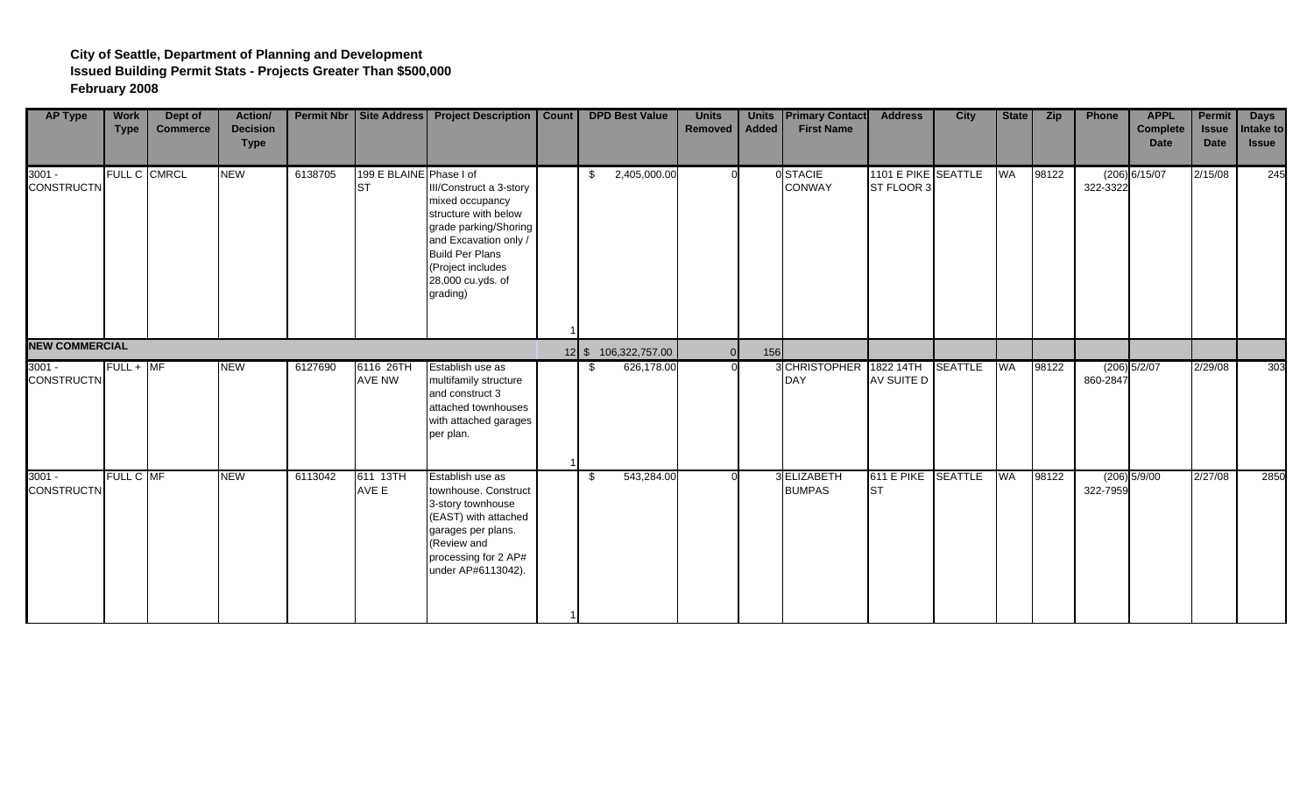| <b>AP Type</b>                | <b>Work</b><br><b>Type</b> | Dept of<br><b>Commerce</b> | Action/<br><b>Decision</b><br><b>Type</b> |         |                                      | <b>Permit Nbr   Site Address   Project Description</b>                                                                                                                                               | Count |     | <b>DPD Best Value</b> | <b>Units</b><br>Removed | <b>Units</b><br>Added | <b>Primary Contact</b><br><b>First Name</b> | <b>Address</b>                    | <b>City</b>    | State     | <b>Zip</b> | Phone    | <b>APPL</b><br><b>Complete</b><br><b>Date</b> | <b>Permit</b><br><b>Issue</b><br><b>Date</b> | <b>Days</b><br>Intake to<br><b>Issue</b> |
|-------------------------------|----------------------------|----------------------------|-------------------------------------------|---------|--------------------------------------|------------------------------------------------------------------------------------------------------------------------------------------------------------------------------------------------------|-------|-----|-----------------------|-------------------------|-----------------------|---------------------------------------------|-----------------------------------|----------------|-----------|------------|----------|-----------------------------------------------|----------------------------------------------|------------------------------------------|
| $3001 -$<br><b>CONSTRUCTN</b> |                            | FULL C CMRCL               | <b>NEW</b>                                | 6138705 | 199 E BLAINE Phase I of<br><b>ST</b> | III/Construct a 3-story<br>mixed occupancy<br>structure with below<br>grade parking/Shoring<br>and Excavation only /<br><b>Build Per Plans</b><br>(Project includes<br>28,000 cu.yds. of<br>grading) |       | -\$ | 2,405,000.00          |                         |                       | 0 STACIE<br><b>CONWAY</b>                   | 1101 E PIKE SEATTLE<br>ST FLOOR 3 |                | <b>WA</b> | 98122      | 322-3322 | $(206)$ 6/15/07                               | 2/15/08                                      | 245                                      |
| <b>NEW COMMERCIAL</b>         |                            |                            |                                           |         |                                      |                                                                                                                                                                                                      |       |     | 12 \$ 106,322,757.00  |                         | 156                   |                                             |                                   |                |           |            |          |                                               |                                              |                                          |
| $3001 -$<br><b>CONSTRUCTN</b> | $FULL + MF$                |                            | <b>NEW</b>                                | 6127690 | 6116 26TH<br>AVE NW                  | Establish use as<br>multifamily structure<br>and construct 3<br>attached townhouses<br>with attached garages<br>per plan.                                                                            |       | -S  | 626,178.00            |                         |                       | 3CHRISTOPHER 1822 14TH<br>DAY               | AV SUITE D                        | <b>SEATTLE</b> | <b>WA</b> | 98122      | 860-2847 | $(206)$ 5/2/07                                | 2/29/08                                      | 303                                      |
| $3001 -$<br><b>CONSTRUCTN</b> | FULL C MF                  |                            | <b>NEW</b>                                | 6113042 | 611 13TH<br>AVE E                    | Establish use as<br>townhouse. Construct<br>3-story townhouse<br>(EAST) with attached<br>garages per plans.<br>(Review and<br>processing for 2 AP#<br>under AP#6113042).                             |       | -\$ | 543,284.00            |                         |                       | 3 ELIZABETH<br><b>BUMPAS</b>                | 611 E PIKE SEATTLE<br><b>ST</b>   |                | <b>WA</b> | 98122      | 322-7959 | $(206)$ 5/9/00                                | 2/27/08                                      | 2850                                     |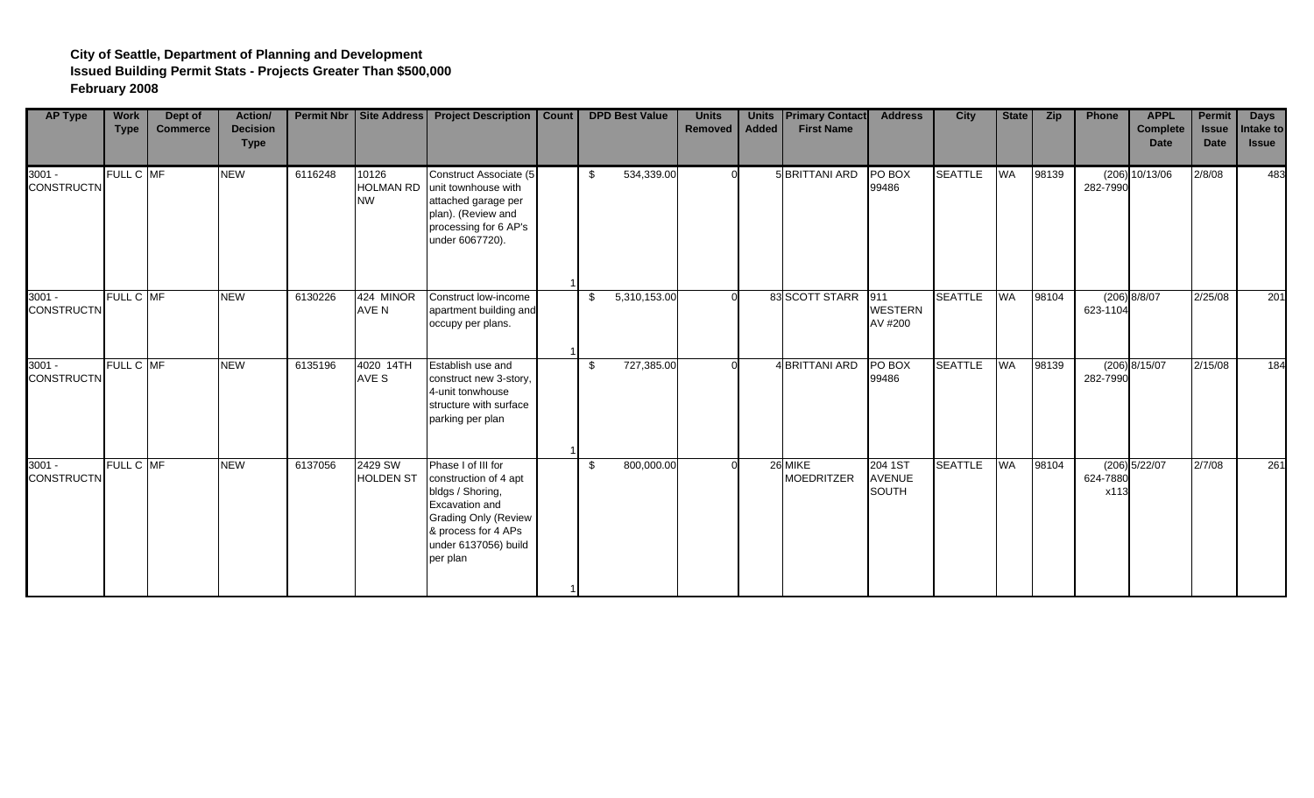| <b>AP Type</b>                | <b>Work</b><br><b>Type</b> | Dept of<br><b>Commerce</b> | <b>Action/</b><br><b>Decision</b><br><b>Type</b> |         |                                        | Permit Nbr   Site Address   Project Description                                                                                                                             | Count |     | <b>DPD Best Value</b> | <b>Units</b><br>Removed | <b>Units</b><br>Added | <b>Primary Contact</b><br><b>First Name</b> | <b>Address</b>                           | <b>City</b>    | State     | <b>Zip</b> | Phone             | <b>APPL</b><br><b>Complete</b><br><b>Date</b> | Permit<br><b>Issue</b><br><b>Date</b> | <b>Days</b><br>Intake to<br><b>Issue</b> |
|-------------------------------|----------------------------|----------------------------|--------------------------------------------------|---------|----------------------------------------|-----------------------------------------------------------------------------------------------------------------------------------------------------------------------------|-------|-----|-----------------------|-------------------------|-----------------------|---------------------------------------------|------------------------------------------|----------------|-----------|------------|-------------------|-----------------------------------------------|---------------------------------------|------------------------------------------|
| $3001 -$<br><b>CONSTRUCTN</b> | FULL C MF                  |                            | <b>NEW</b>                                       | 6116248 | 10126<br><b>HOLMAN RD</b><br><b>NW</b> | Construct Associate (5<br>unit townhouse with<br>attached garage per<br>plan). (Review and<br>processing for 6 AP's<br>under 6067720).                                      |       |     | 534,339.00            |                         |                       | 5 BRITTANI ARD                              | PO BOX<br>99486                          | <b>SEATTLE</b> | <b>WA</b> | 98139      | (206)<br>282-7990 | 10/13/06                                      | 2/8/08                                | 483                                      |
| $3001 -$<br><b>CONSTRUCTN</b> | FULL C MF                  |                            | <b>NEW</b>                                       | 6130226 | 424 MINOR<br>AVE N                     | Construct low-income<br>apartment building and<br>occupy per plans.                                                                                                         |       | -\$ | 5,310,153.00          |                         |                       | 83 SCOTT STARR 911                          | <b>WESTERN</b><br>AV #200                | <b>SEATTLE</b> | <b>WA</b> | 98104      | 623-1104          | (206) 8/8/07                                  | 2/25/08                               | 201                                      |
| $3001 -$<br><b>CONSTRUCTN</b> | FULL C MF                  |                            | <b>NEW</b>                                       | 6135196 | 4020 14TH<br>AVE S                     | Establish use and<br>construct new 3-story,<br>4-unit tonwhouse<br>structure with surface<br>parking per plan                                                               |       | \$  | 727,385.00            |                         |                       | 4 BRITTANI ARD                              | PO BOX<br>99486                          | <b>SEATTLE</b> | <b>WA</b> | 98139      | 282-7990          | $(206)$ 8/15/07                               | 2/15/08                               | 184                                      |
| $3001 -$<br><b>CONSTRUCTN</b> | FULL C MF                  |                            | <b>NEW</b>                                       | 6137056 | 2429 SW<br><b>HOLDEN ST</b>            | Phase I of III for<br>construction of 4 apt<br>bldgs / Shoring,<br>Excavation and<br><b>Grading Only (Review</b><br>& process for 4 APs<br>under 6137056) build<br>per plan |       | -\$ | 800,000.00            |                         |                       | 26 MIKE<br><b>MOEDRITZER</b>                | 204 1ST<br><b>AVENUE</b><br><b>SOUTH</b> | <b>SEATTLE</b> | <b>WA</b> | 98104      | 624-7880<br>x113  | $(206)$ 5/22/07                               | 2/7/08                                | 261                                      |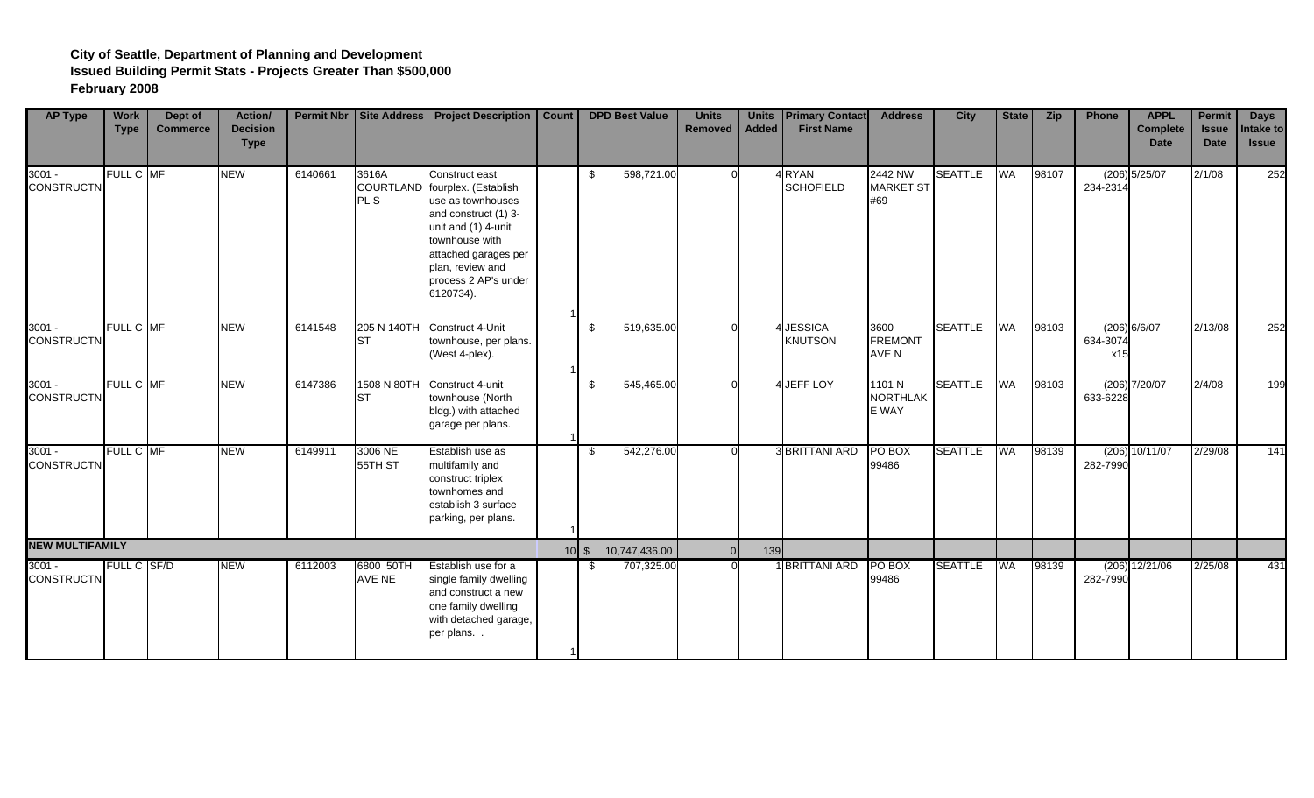| <b>AP Type</b>                | <b>Work</b><br><b>Type</b> | Dept of<br><b>Commerce</b> | Action/<br><b>Decision</b><br><b>Type</b> |         |                     | Permit Nbr   Site Address   Project Description                                                                                                                                                                         | <b>Count</b> |                 | <b>DPD Best Value</b> | <b>Units</b><br><b>Removed</b> | <b>Units</b><br><b>Added</b> | <b>Primary Contact</b><br><b>First Name</b> | <b>Address</b>                     | <b>City</b>    | State     | <b>Zip</b> | Phone             | <b>APPL</b><br><b>Complete</b><br><b>Date</b> | <b>Permit</b><br><b>Issue</b><br><b>Date</b> | <b>Days</b><br>Intake to<br><b>Issue</b> |
|-------------------------------|----------------------------|----------------------------|-------------------------------------------|---------|---------------------|-------------------------------------------------------------------------------------------------------------------------------------------------------------------------------------------------------------------------|--------------|-----------------|-----------------------|--------------------------------|------------------------------|---------------------------------------------|------------------------------------|----------------|-----------|------------|-------------------|-----------------------------------------------|----------------------------------------------|------------------------------------------|
| $3001 -$<br><b>CONSTRUCTN</b> | FULL C MF                  |                            | <b>NEW</b>                                | 6140661 | 3616A<br>PL S       | Construct east<br>COURTLAND fourplex. (Establish<br>use as townhouses<br>and construct (1) 3-<br>unit and (1) 4-unit<br>townhouse with<br>attached garages per<br>plan, review and<br>process 2 AP's under<br>6120734). |              | -\$             | 598,721.00            |                                |                              | 4 RYAN<br><b>SCHOFIELD</b>                  | 2442 NW<br>MARKET ST<br>#69        | <b>SEATTLE</b> | <b>WA</b> | 98107      | 234-2314          | $(206)$ 5/25/07                               | 2/1/08                                       | 252                                      |
| $3001 -$<br><b>CONSTRUCTN</b> | FULL C MF                  |                            | <b>NEW</b>                                | 6141548 | <b>ST</b>           | 205 N 140TH Construct 4-Unit<br>townhouse, per plans.<br>(West 4-plex).                                                                                                                                                 |              | -\$             | 519,635.00            |                                |                              | 4 JESSICA<br><b>KNUTSON</b>                 | 3600<br><b>FREMONT</b><br>AVE N    | <b>SEATTLE</b> | <b>WA</b> | 98103      | 634-3074<br>x15   | (206) 6/6/07                                  | 2/13/08                                      | 252                                      |
| $3001 -$<br><b>CONSTRUCTN</b> | FULL C MF                  |                            | <b>NEW</b>                                | 6147386 | 1508 N 80TH<br>ST   | Construct 4-unit<br>townhouse (North<br>bldg.) with attached<br>garage per plans.                                                                                                                                       |              | $\mathfrak{L}$  | 545,465.00            |                                |                              | 4 JEFF LOY                                  | 1101 N<br><b>NORTHLAK</b><br>E WAY | <b>SEATTLE</b> | <b>WA</b> | 98103      | 633-6228          | $(206)$ $7/20/07$                             | 2/4/08                                       | 199                                      |
| $3001 -$<br><b>CONSTRUCTN</b> | FULL C MF                  |                            | <b>NEW</b>                                | 6149911 | 3006 NE<br>55TH ST  | Establish use as<br>multifamily and<br>construct triplex<br>townhomes and<br>establish 3 surface<br>parking, per plans.                                                                                                 |              | -\$             | 542,276.00            |                                |                              | <b>3 BRITTANI ARD</b>                       | PO BOX<br>99486                    | <b>SEATTLE</b> | <b>WA</b> | 98139      | (206)<br>282-7990 | 10/11/07                                      | 2/29/08                                      | 141                                      |
| <b>NEW MULTIFAMILY</b>        |                            |                            |                                           |         |                     |                                                                                                                                                                                                                         |              | $10$ $\sqrt{5}$ | 10,747,436.00         |                                | 139                          |                                             |                                    |                |           |            |                   |                                               |                                              |                                          |
| $3001 -$<br><b>CONSTRUCTN</b> | FULL C SF/D                |                            | <b>NEW</b>                                | 6112003 | 6800 50TH<br>AVE NE | Establish use for a<br>single family dwelling<br>and construct a new<br>one family dwelling<br>with detached garage,<br>per plans                                                                                       |              | -S              | 707,325.00            |                                |                              | 1 BRITTANI ARD                              | PO BOX<br>99486                    | <b>SEATTLE</b> | WA        | 98139      | 282-7990          | $(206)$ 12/21/06                              | 2/25/08                                      | 431                                      |